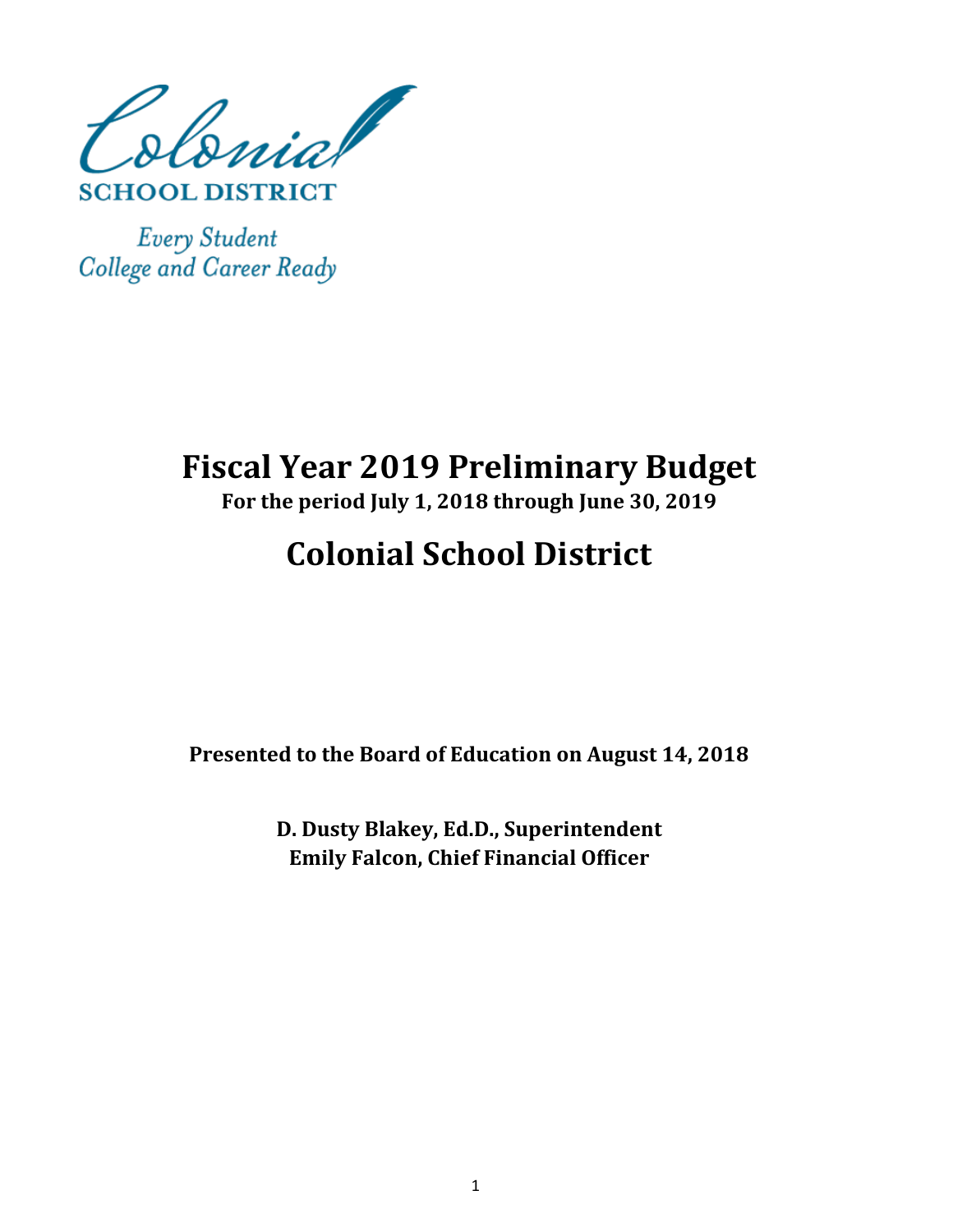Slonial

**SCHOOL DISTRICT** 

**Every Student** College and Career Ready

## **Fiscal Year 2019 Preliminary Budget**

**For the period July 1, 2018 through June 30, 2019**

# **Colonial School District**

**Presented to the Board of Education on August 14, 2018**

**D. Dusty Blakey, Ed.D., Superintendent Emily Falcon, Chief Financial Officer**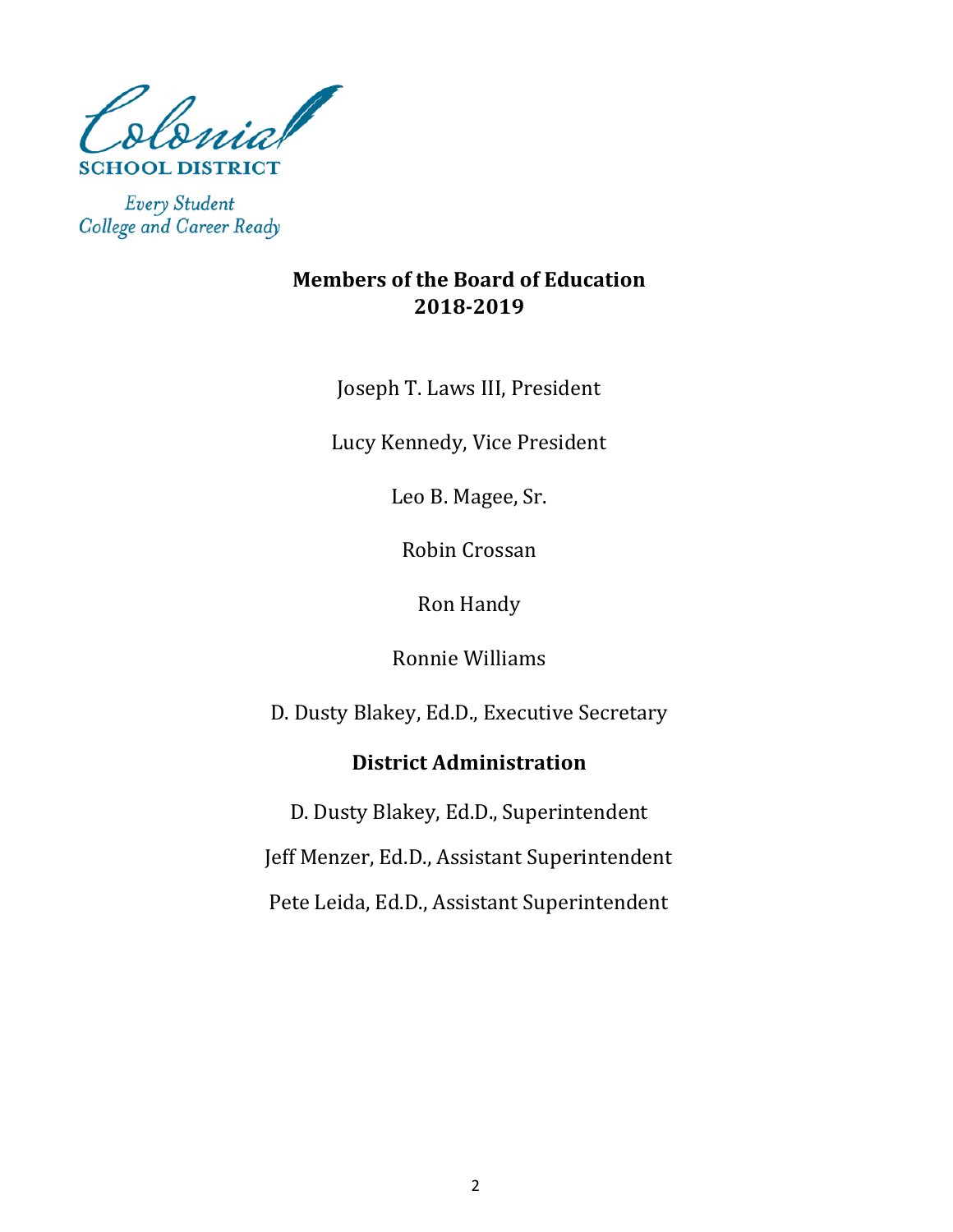

**Every Student** College and Career Ready

## **Members of the Board of Education 2018-2019**

Joseph T. Laws III, President

Lucy Kennedy, Vice President

Leo B. Magee, Sr.

Robin Crossan

Ron Handy

Ronnie Williams

D. Dusty Blakey, Ed.D., Executive Secretary

## **District Administration**

Pete Leida, Ed.D., Assistant Superintendent Jeff Menzer, Ed.D., Assistant Superintendent D. Dusty Blakey, Ed.D., Superintendent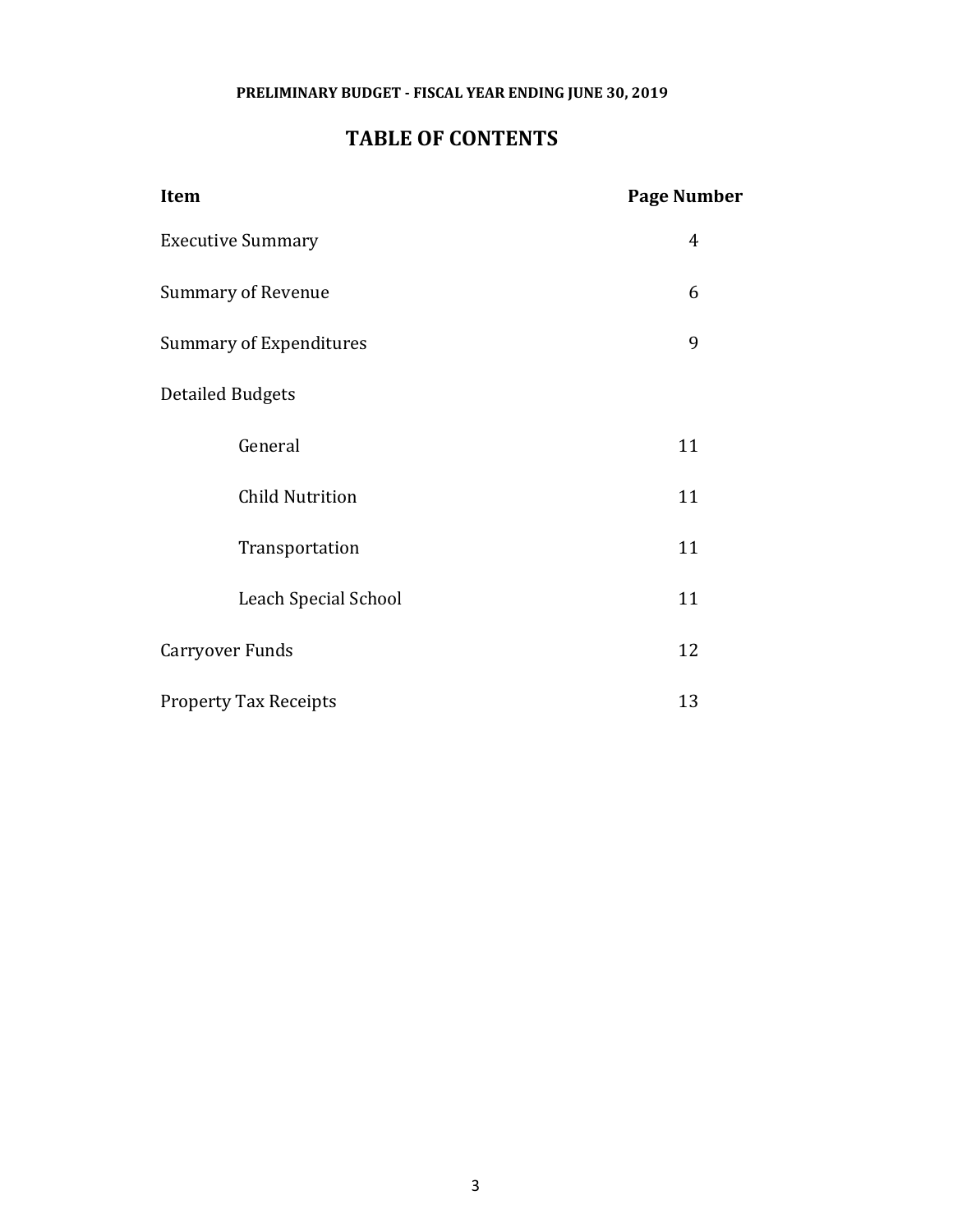#### **PRELIMINARY BUDGET - FISCAL YEAR ENDING JUNE 30, 2019**

### **TABLE OF CONTENTS**

| <b>Item</b>                    | <b>Page Number</b> |
|--------------------------------|--------------------|
| <b>Executive Summary</b>       | $\overline{4}$     |
| <b>Summary of Revenue</b>      | 6                  |
| <b>Summary of Expenditures</b> | 9                  |
| <b>Detailed Budgets</b>        |                    |
| General                        | 11                 |
| <b>Child Nutrition</b>         | 11                 |
| Transportation                 | 11                 |
| Leach Special School           | 11                 |
| <b>Carryover Funds</b>         | 12                 |
| <b>Property Tax Receipts</b>   | 13                 |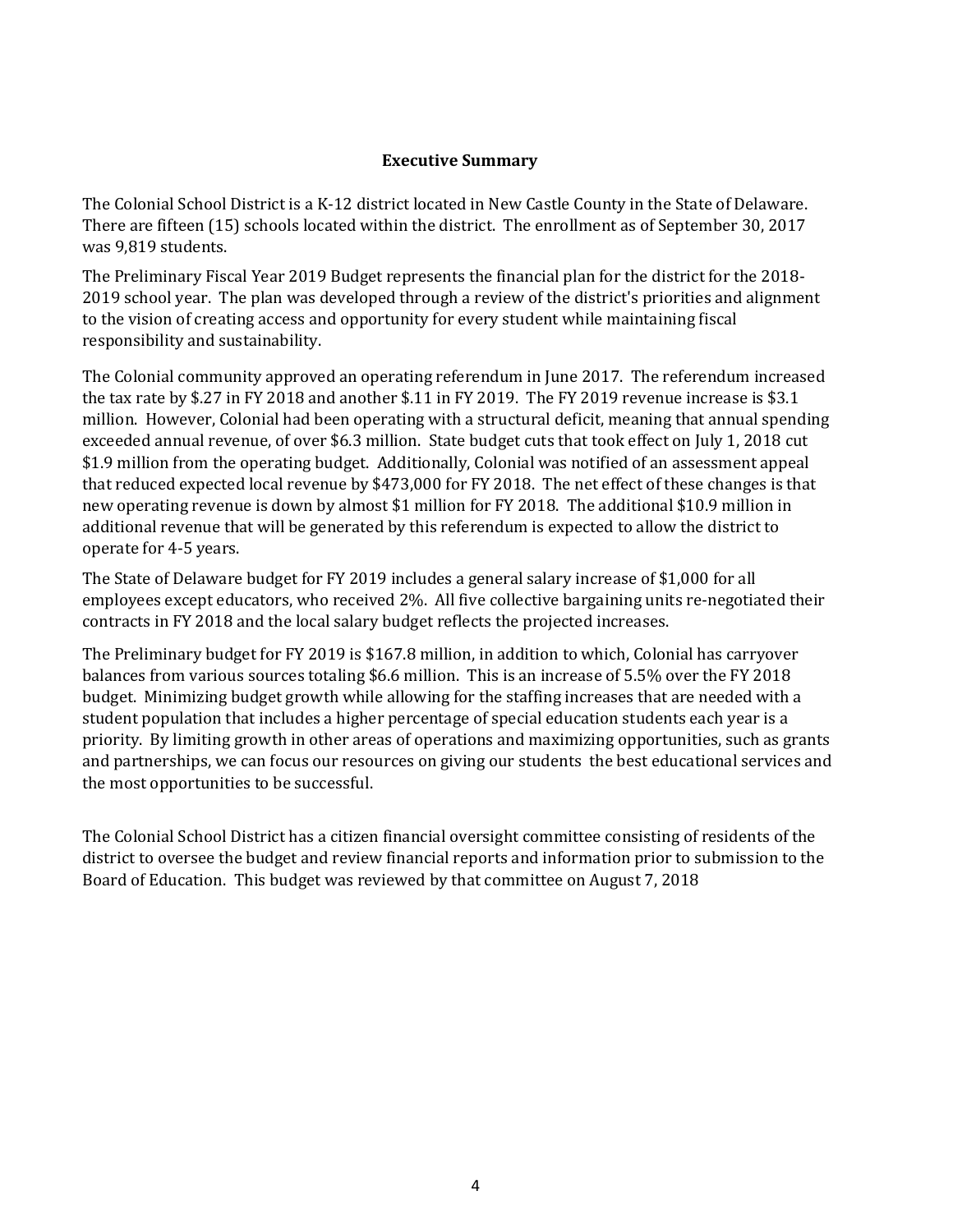#### **Executive Summary**

The Colonial School District is a K-12 district located in New Castle County in the State of Delaware. There are fifteen (15) schools located within the district. The enrollment as of September 30, 2017 was 9,819 students.

The Preliminary Fiscal Year 2019 Budget represents the financial plan for the district for the 2018- 2019 school year. The plan was developed through a review of the district's priorities and alignment to the vision of creating access and opportunity for every student while maintaining fiscal responsibility and sustainability.

The Colonial community approved an operating referendum in June 2017. The referendum increased the tax rate by \$.27 in FY 2018 and another \$.11 in FY 2019. The FY 2019 revenue increase is \$3.1 million. However, Colonial had been operating with a structural deficit, meaning that annual spending exceeded annual revenue, of over \$6.3 million. State budget cuts that took effect on July 1, 2018 cut \$1.9 million from the operating budget. Additionally, Colonial was notified of an assessment appeal that reduced expected local revenue by \$473,000 for FY 2018. The net effect of these changes is that new operating revenue is down by almost \$1 million for FY 2018. The additional \$10.9 million in additional revenue that will be generated by this referendum is expected to allow the district to operate for 4-5 years.

The State of Delaware budget for FY 2019 includes a general salary increase of \$1,000 for all employees except educators, who received 2%. All five collective bargaining units re-negotiated their contracts in FY 2018 and the local salary budget reflects the projected increases.

The Preliminary budget for FY 2019 is \$167.8 million, in addition to which, Colonial has carryover balances from various sources totaling \$6.6 million. This is an increase of 5.5% over the FY 2018 budget. Minimizing budget growth while allowing for the staffing increases that are needed with a student population that includes a higher percentage of special education students each year is a priority. By limiting growth in other areas of operations and maximizing opportunities, such as grants and partnerships, we can focus our resources on giving our students the best educational services and the most opportunities to be successful.

The Colonial School District has a citizen financial oversight committee consisting of residents of the district to oversee the budget and review financial reports and information prior to submission to the Board of Education. This budget was reviewed by that committee on August 7, 2018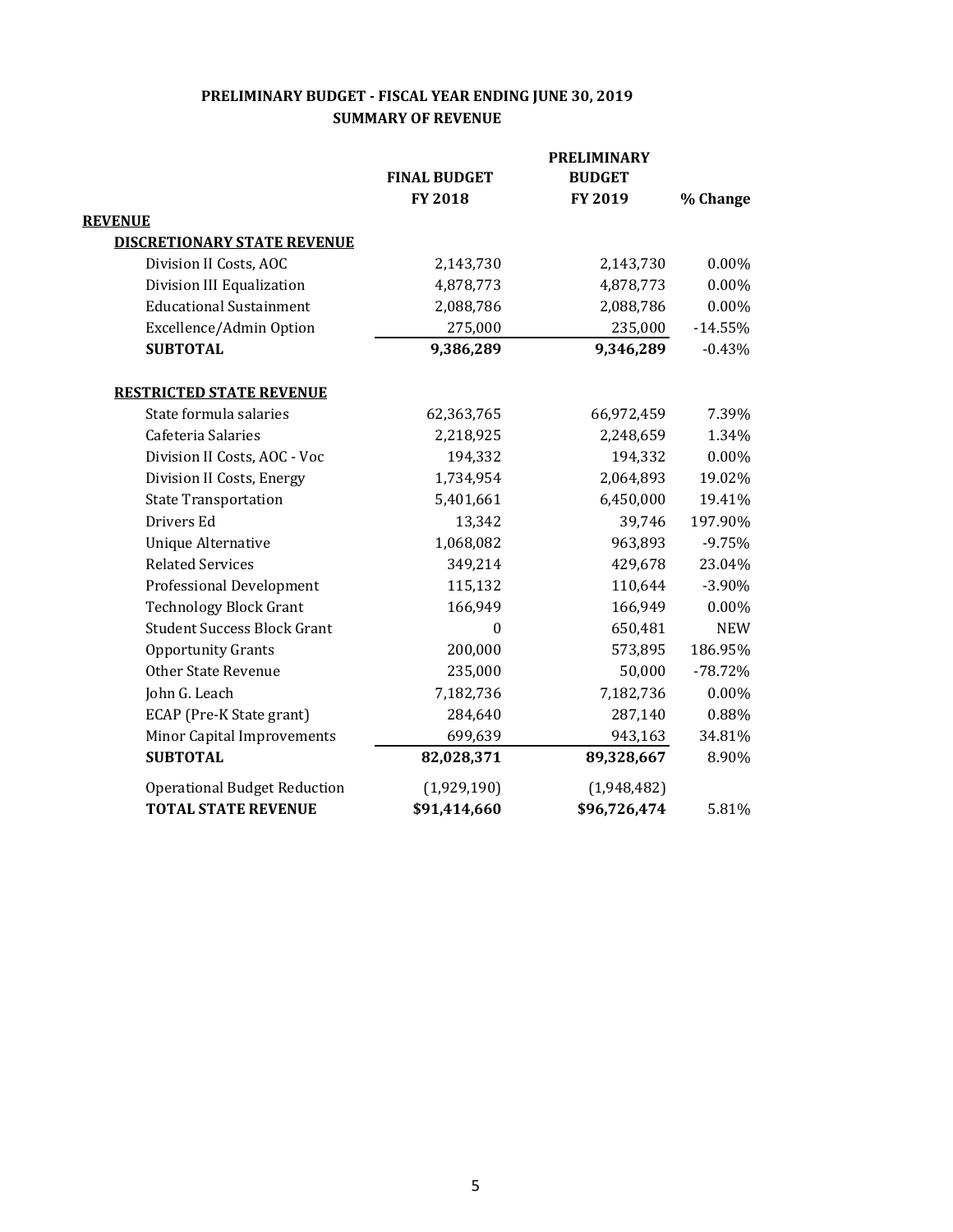|                                     | <b>FINAL BUDGET</b><br>FY 2018 | <b>PRELIMINARY</b><br><b>BUDGET</b><br>FY 2019 | % Change   |
|-------------------------------------|--------------------------------|------------------------------------------------|------------|
| <b>REVENUE</b>                      |                                |                                                |            |
| <b>DISCRETIONARY STATE REVENUE</b>  |                                |                                                |            |
| Division II Costs, AOC              | 2,143,730                      | 2,143,730                                      | 0.00%      |
| Division III Equalization           | 4,878,773                      | 4,878,773                                      | 0.00%      |
| <b>Educational Sustainment</b>      | 2,088,786                      | 2,088,786                                      | 0.00%      |
| Excellence/Admin Option             | 275,000                        | 235,000                                        | $-14.55%$  |
| <b>SUBTOTAL</b>                     | 9,386,289                      | 9,346,289                                      | $-0.43%$   |
| <b>RESTRICTED STATE REVENUE</b>     |                                |                                                |            |
| State formula salaries              | 62,363,765                     | 66,972,459                                     | 7.39%      |
| Cafeteria Salaries                  | 2,218,925                      | 2,248,659                                      | 1.34%      |
| Division II Costs, AOC - Voc        | 194,332                        | 194,332                                        | 0.00%      |
| Division II Costs, Energy           | 1,734,954                      | 2,064,893                                      | 19.02%     |
| <b>State Transportation</b>         | 5,401,661                      | 6,450,000                                      | 19.41%     |
| Drivers Ed                          | 13,342                         | 39,746                                         | 197.90%    |
| <b>Unique Alternative</b>           | 1,068,082                      | 963,893                                        | $-9.75%$   |
| <b>Related Services</b>             | 349,214                        | 429,678                                        | 23.04%     |
| Professional Development            | 115,132                        | 110,644                                        | $-3.90%$   |
| <b>Technology Block Grant</b>       | 166,949                        | 166,949                                        | 0.00%      |
| <b>Student Success Block Grant</b>  | $\boldsymbol{0}$               | 650,481                                        | <b>NEW</b> |
| <b>Opportunity Grants</b>           | 200,000                        | 573,895                                        | 186.95%    |
| <b>Other State Revenue</b>          | 235,000                        | 50,000                                         | $-78.72%$  |
| John G. Leach                       | 7,182,736                      | 7,182,736                                      | $0.00\%$   |
| ECAP (Pre-K State grant)            | 284,640                        | 287,140                                        | 0.88%      |
| <b>Minor Capital Improvements</b>   | 699,639                        | 943,163                                        | 34.81%     |
| <b>SUBTOTAL</b>                     | 82,028,371                     | 89,328,667                                     | 8.90%      |
| <b>Operational Budget Reduction</b> | (1,929,190)                    | (1,948,482)                                    |            |
| <b>TOTAL STATE REVENUE</b>          | \$91,414,660                   | \$96,726,474                                   | 5.81%      |

#### **PRELIMINARY BUDGET - FISCAL YEAR ENDING JUNE 30, 2019 SUMMARY OF REVENUE**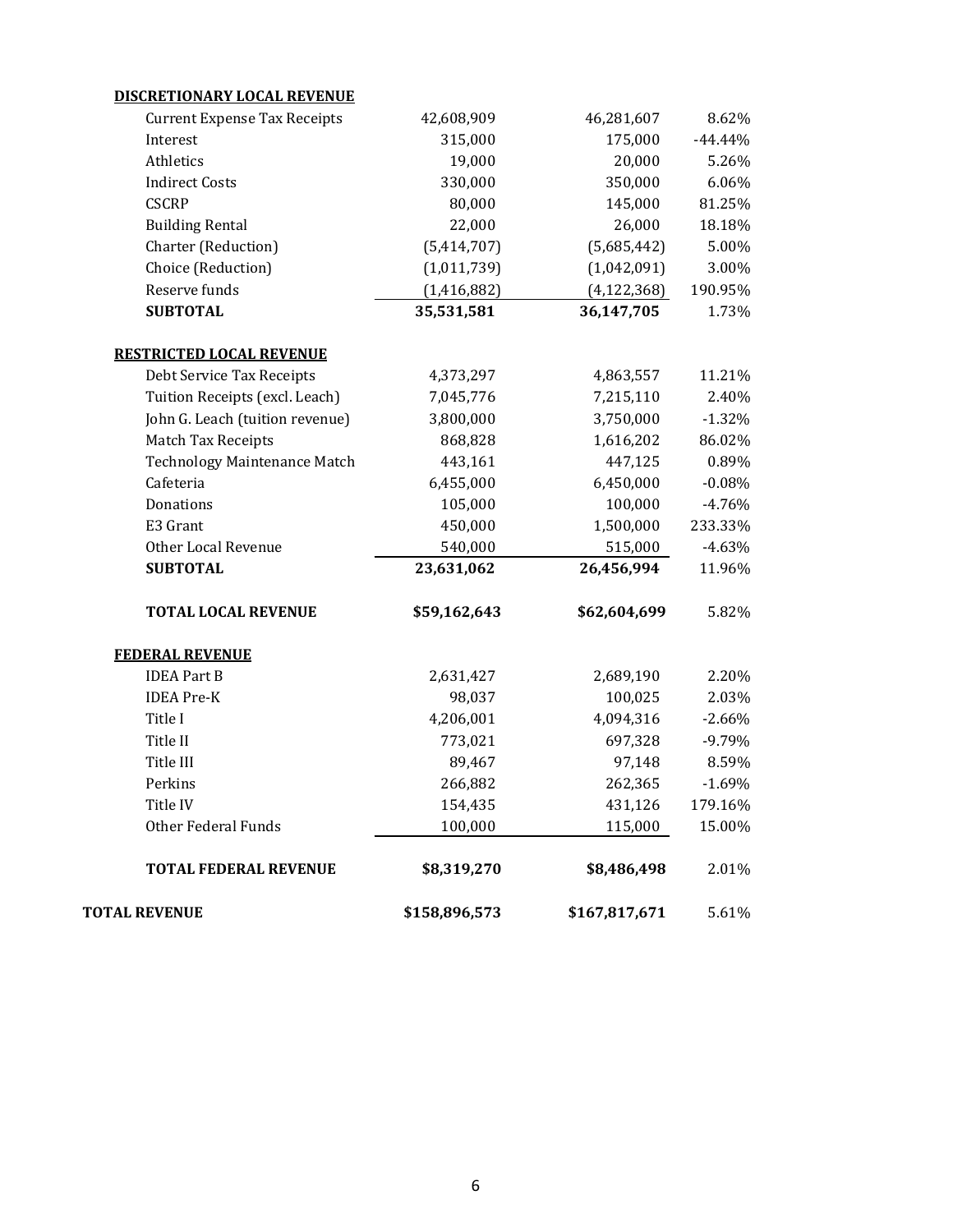| <b>TOTAL REVENUE</b>                | \$158,896,573 | \$167,817,671 | 5.61%     |
|-------------------------------------|---------------|---------------|-----------|
| <b>TOTAL FEDERAL REVENUE</b>        | \$8,319,270   | \$8,486,498   | 2.01%     |
| Other Federal Funds                 | 100,000       | 115,000       | 15.00%    |
| Title IV                            | 154,435       | 431,126       | 179.16%   |
| Perkins                             | 266,882       | 262,365       | $-1.69%$  |
| Title III                           | 89,467        | 97,148        | 8.59%     |
| Title II                            | 773,021       | 697,328       | $-9.79%$  |
| Title I                             | 4,206,001     | 4,094,316     | $-2.66%$  |
| <b>IDEA</b> Pre-K                   | 98,037        | 100,025       | 2.03%     |
| <b>IDEA Part B</b>                  | 2,631,427     | 2,689,190     | 2.20%     |
| <b>FEDERAL REVENUE</b>              |               |               |           |
| <b>TOTAL LOCAL REVENUE</b>          | \$59,162,643  | \$62,604,699  | 5.82%     |
| <b>SUBTOTAL</b>                     | 23,631,062    | 26,456,994    | 11.96%    |
| Other Local Revenue                 | 540,000       | 515,000       | $-4.63%$  |
| E3 Grant                            | 450,000       | 1,500,000     | 233.33%   |
| Donations                           | 105,000       | 100,000       | $-4.76%$  |
| Cafeteria                           | 6,455,000     | 6,450,000     | $-0.08%$  |
| <b>Technology Maintenance Match</b> | 443,161       | 447,125       | 0.89%     |
| Match Tax Receipts                  | 868,828       | 1,616,202     | 86.02%    |
| John G. Leach (tuition revenue)     | 3,800,000     | 3,750,000     | $-1.32%$  |
| Tuition Receipts (excl. Leach)      | 7,045,776     | 7,215,110     | 2.40%     |
| Debt Service Tax Receipts           | 4,373,297     | 4,863,557     | 11.21%    |
| <b>RESTRICTED LOCAL REVENUE</b>     |               |               |           |
| <b>SUBTOTAL</b>                     | 35,531,581    | 36,147,705    | 1.73%     |
| Reserve funds                       | (1,416,882)   | (4, 122, 368) | 190.95%   |
| Choice (Reduction)                  | (1,011,739)   | (1,042,091)   | 3.00%     |
| Charter (Reduction)                 | (5,414,707)   | (5,685,442)   | 5.00%     |
| <b>Building Rental</b>              | 22,000        | 26,000        | 18.18%    |
| <b>CSCRP</b>                        | 80,000        | 145,000       | 81.25%    |
| <b>Indirect Costs</b>               | 330,000       | 350,000       | 6.06%     |
| Athletics                           | 19,000        | 20,000        | 5.26%     |
| Interest                            | 315,000       | 175,000       | $-44.44%$ |
| <b>Current Expense Tax Receipts</b> | 42,608,909    | 46,281,607    |           |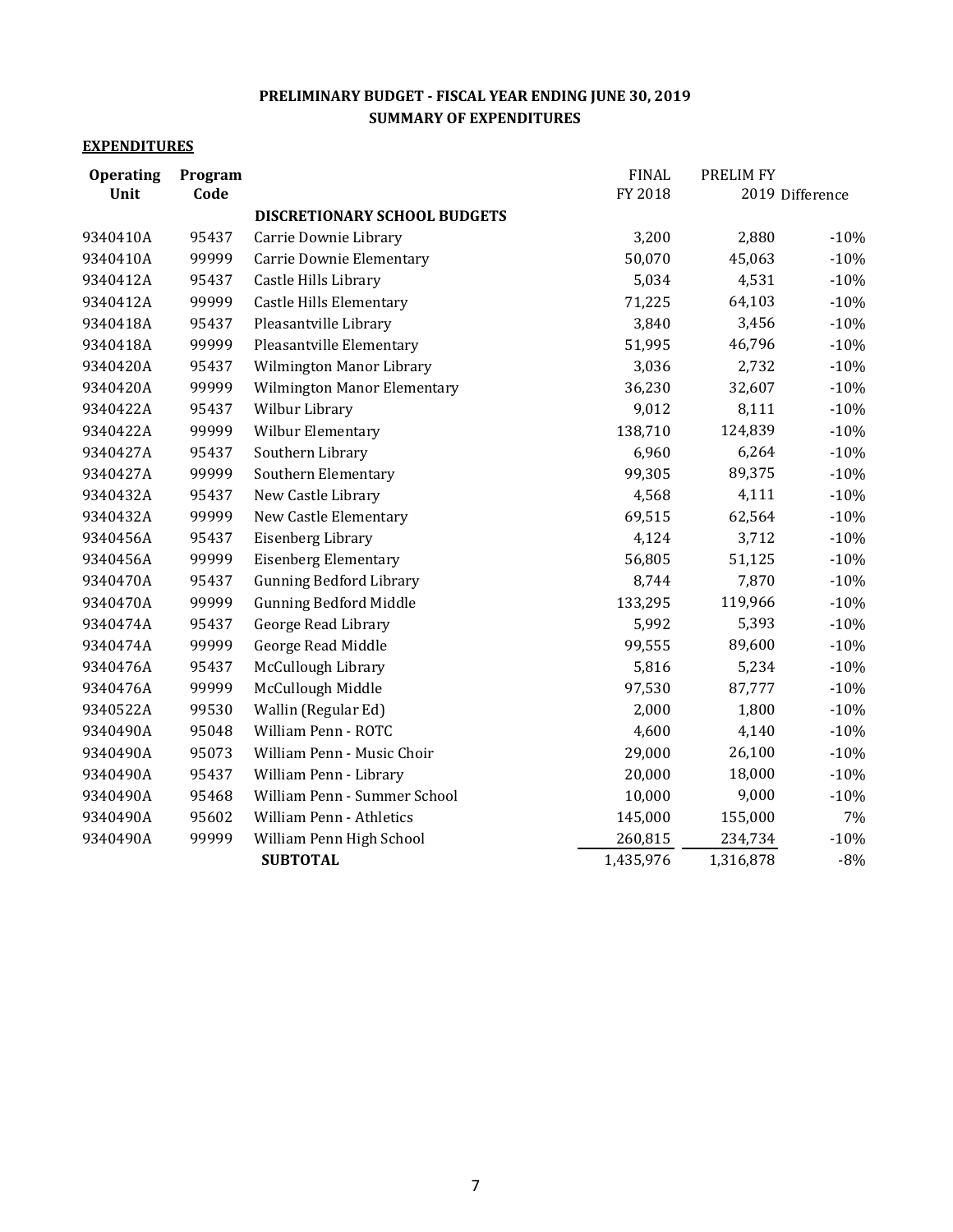#### **PRELIMINARY BUDGET - FISCAL YEAR ENDING JUNE 30, 2019 SUMMARY OF EXPENDITURES**

#### **EXPENDITURES**

| <b>Operating</b> | Program |                                     | <b>FINAL</b> | PRELIM FY |                 |
|------------------|---------|-------------------------------------|--------------|-----------|-----------------|
| Unit             | Code    |                                     | FY 2018      |           | 2019 Difference |
|                  |         | <b>DISCRETIONARY SCHOOL BUDGETS</b> |              |           |                 |
| 9340410A         | 95437   | Carrie Downie Library               | 3,200        | 2,880     | $-10%$          |
| 9340410A         | 99999   | Carrie Downie Elementary            | 50,070       | 45,063    | $-10%$          |
| 9340412A         | 95437   | Castle Hills Library                | 5,034        | 4,531     | $-10%$          |
| 9340412A         | 99999   | <b>Castle Hills Elementary</b>      | 71,225       | 64,103    | $-10%$          |
| 9340418A         | 95437   | Pleasantville Library               | 3,840        | 3,456     | $-10%$          |
| 9340418A         | 99999   | Pleasantville Elementary            | 51,995       | 46,796    | $-10%$          |
| 9340420A         | 95437   | Wilmington Manor Library            | 3,036        | 2,732     | $-10%$          |
| 9340420A         | 99999   | <b>Wilmington Manor Elementary</b>  | 36,230       | 32,607    | $-10%$          |
| 9340422A         | 95437   | Wilbur Library                      | 9,012        | 8,111     | $-10%$          |
| 9340422A         | 99999   | Wilbur Elementary                   | 138,710      | 124,839   | $-10%$          |
| 9340427A         | 95437   | Southern Library                    | 6,960        | 6,264     | $-10%$          |
| 9340427A         | 99999   | Southern Elementary                 | 99,305       | 89,375    | $-10%$          |
| 9340432A         | 95437   | New Castle Library                  | 4,568        | 4,111     | $-10%$          |
| 9340432A         | 99999   | New Castle Elementary               | 69,515       | 62,564    | $-10%$          |
| 9340456A         | 95437   | Eisenberg Library                   | 4,124        | 3,712     | $-10%$          |
| 9340456A         | 99999   | <b>Eisenberg Elementary</b>         | 56,805       | 51,125    | $-10%$          |
| 9340470A         | 95437   | <b>Gunning Bedford Library</b>      | 8,744        | 7,870     | $-10%$          |
| 9340470A         | 99999   | <b>Gunning Bedford Middle</b>       | 133,295      | 119,966   | $-10%$          |
| 9340474A         | 95437   | George Read Library                 | 5,992        | 5,393     | $-10%$          |
| 9340474A         | 99999   | George Read Middle                  | 99,555       | 89,600    | $-10%$          |
| 9340476A         | 95437   | McCullough Library                  | 5,816        | 5,234     | $-10%$          |
| 9340476A         | 99999   | McCullough Middle                   | 97,530       | 87,777    | $-10%$          |
| 9340522A         | 99530   | Wallin (Regular Ed)                 | 2,000        | 1,800     | $-10%$          |
| 9340490A         | 95048   | William Penn - ROTC                 | 4,600        | 4,140     | $-10%$          |
| 9340490A         | 95073   | William Penn - Music Choir          | 29,000       | 26,100    | $-10%$          |
| 9340490A         | 95437   | William Penn - Library              | 20,000       | 18,000    | $-10%$          |
| 9340490A         | 95468   | William Penn - Summer School        | 10,000       | 9,000     | $-10%$          |
| 9340490A         | 95602   | <b>William Penn - Athletics</b>     | 145,000      | 155,000   | 7%              |
| 9340490A         | 99999   | William Penn High School            | 260,815      | 234,734   | $-10%$          |
|                  |         | <b>SUBTOTAL</b>                     | 1,435,976    | 1,316,878 | $-8%$           |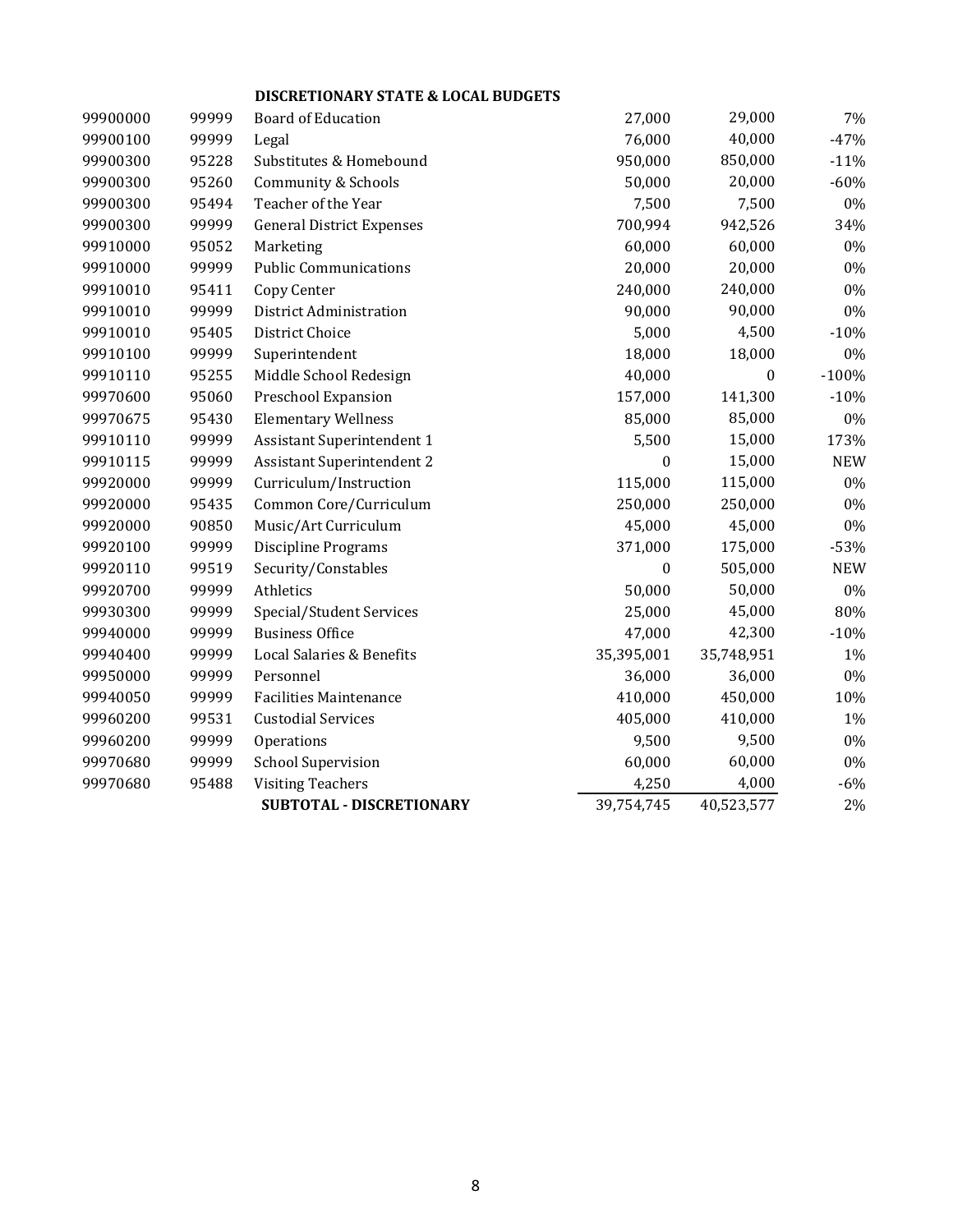#### **DISCRETIONARY STATE & LOCAL BUDGETS**

| 99900000 | 99999 | Board of Education                | 27,000           | 29,000       | 7%         |
|----------|-------|-----------------------------------|------------------|--------------|------------|
| 99900100 | 99999 | Legal                             | 76,000           | 40,000       | $-47%$     |
| 99900300 | 95228 | Substitutes & Homebound           | 950,000          | 850,000      | $-11%$     |
| 99900300 | 95260 | Community & Schools               | 50,000           | 20,000       | $-60%$     |
| 99900300 | 95494 | Teacher of the Year               | 7,500            | 7,500        | $0\%$      |
| 99900300 | 99999 | <b>General District Expenses</b>  | 700,994          | 942,526      | 34%        |
| 99910000 | 95052 | Marketing                         | 60,000           | 60,000       | 0%         |
| 99910000 | 99999 | <b>Public Communications</b>      | 20,000           | 20,000       | 0%         |
| 99910010 | 95411 | Copy Center                       | 240,000          | 240,000      | 0%         |
| 99910010 | 99999 | District Administration           | 90,000           | 90,000       | $0\%$      |
| 99910010 | 95405 | District Choice                   | 5,000            | 4,500        | $-10%$     |
| 99910100 | 99999 | Superintendent                    | 18,000           | 18,000       | 0%         |
| 99910110 | 95255 | Middle School Redesign            | 40,000           | $\mathbf{0}$ | $-100%$    |
| 99970600 | 95060 | Preschool Expansion               | 157,000          | 141,300      | $-10%$     |
| 99970675 | 95430 | <b>Elementary Wellness</b>        | 85,000           | 85,000       | 0%         |
| 99910110 | 99999 | <b>Assistant Superintendent 1</b> | 5,500            | 15,000       | 173%       |
| 99910115 | 99999 | <b>Assistant Superintendent 2</b> | $\boldsymbol{0}$ | 15,000       | <b>NEW</b> |
| 99920000 | 99999 | Curriculum/Instruction            | 115,000          | 115,000      | $0\%$      |
| 99920000 | 95435 | Common Core/Curriculum            | 250,000          | 250,000      | 0%         |
| 99920000 | 90850 | Music/Art Curriculum              | 45,000           | 45,000       | 0%         |
| 99920100 | 99999 | <b>Discipline Programs</b>        | 371,000          | 175,000      | $-53%$     |
| 99920110 | 99519 | Security/Constables               | $\boldsymbol{0}$ | 505,000      | <b>NEW</b> |
| 99920700 | 99999 | Athletics                         | 50,000           | 50,000       | $0\%$      |
| 99930300 | 99999 | Special/Student Services          | 25,000           | 45,000       | 80%        |
| 99940000 | 99999 | <b>Business Office</b>            | 47,000           | 42,300       | $-10%$     |
| 99940400 | 99999 | Local Salaries & Benefits         | 35,395,001       | 35,748,951   | 1%         |
| 99950000 | 99999 | Personnel                         | 36,000           | 36,000       | 0%         |
| 99940050 | 99999 | <b>Facilities Maintenance</b>     | 410,000          | 450,000      | 10%        |
| 99960200 | 99531 | <b>Custodial Services</b>         | 405,000          | 410,000      | 1%         |
| 99960200 | 99999 | Operations                        | 9,500            | 9,500        | $0\%$      |
| 99970680 | 99999 | <b>School Supervision</b>         | 60,000           | 60,000       | 0%         |
| 99970680 | 95488 | <b>Visiting Teachers</b>          | 4,250            | 4,000        | $-6%$      |
|          |       | <b>SUBTOTAL - DISCRETIONARY</b>   | 39,754,745       | 40,523,577   | $2\%$      |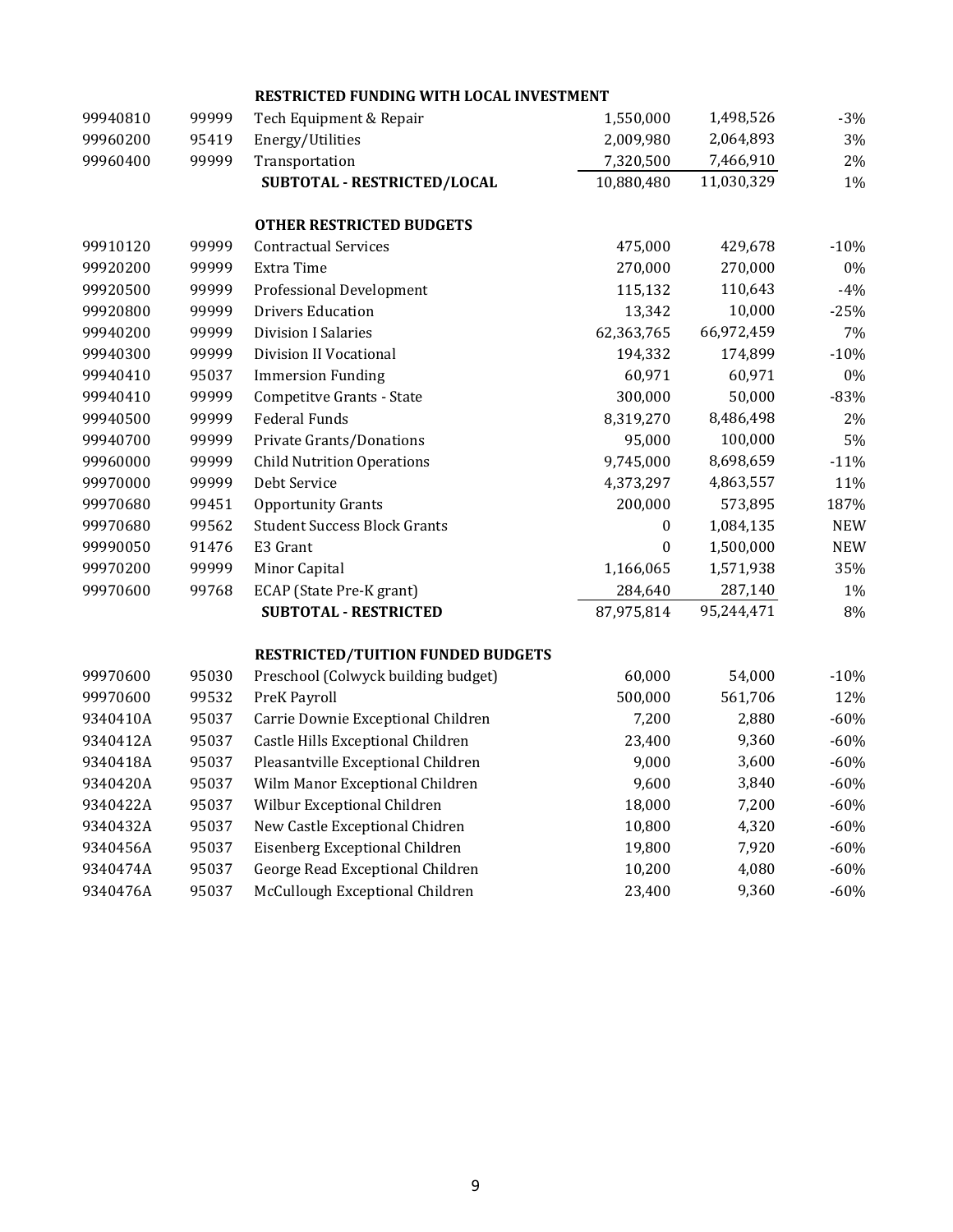| 99940810 | 99999 | Tech Equipment & Repair                  | 1,550,000        | 1,498,526  | $-3%$      |
|----------|-------|------------------------------------------|------------------|------------|------------|
| 99960200 | 95419 | Energy/Utilities                         | 2,009,980        | 2,064,893  | 3%         |
| 99960400 | 99999 | Transportation                           | 7,320,500        | 7,466,910  | 2%         |
|          |       | SUBTOTAL - RESTRICTED/LOCAL              | 10,880,480       | 11,030,329 | 1%         |
|          |       | <b>OTHER RESTRICTED BUDGETS</b>          |                  |            |            |
| 99910120 | 99999 | <b>Contractual Services</b>              | 475,000          | 429,678    | $-10%$     |
| 99920200 | 99999 | <b>Extra Time</b>                        | 270,000          | 270,000    | 0%         |
| 99920500 | 99999 | <b>Professional Development</b>          | 115,132          | 110,643    | $-4%$      |
| 99920800 | 99999 | <b>Drivers Education</b>                 | 13,342           | 10,000     | $-25%$     |
| 99940200 | 99999 | <b>Division I Salaries</b>               | 62,363,765       | 66,972,459 | 7%         |
| 99940300 | 99999 | Division II Vocational                   | 194,332          | 174,899    | $-10%$     |
| 99940410 | 95037 | <b>Immersion Funding</b>                 | 60,971           | 60,971     | $0\%$      |
| 99940410 | 99999 | Competitve Grants - State                | 300,000          | 50,000     | $-83%$     |
| 99940500 | 99999 | <b>Federal Funds</b>                     | 8,319,270        | 8,486,498  | 2%         |
| 99940700 | 99999 | <b>Private Grants/Donations</b>          | 95,000           | 100,000    | 5%         |
| 99960000 | 99999 | <b>Child Nutrition Operations</b>        | 9,745,000        | 8,698,659  | $-11%$     |
| 99970000 | 99999 | Debt Service                             | 4,373,297        | 4,863,557  | 11%        |
| 99970680 | 99451 | <b>Opportunity Grants</b>                | 200,000          | 573,895    | 187%       |
| 99970680 | 99562 | <b>Student Success Block Grants</b>      | $\bf{0}$         | 1,084,135  | <b>NEW</b> |
| 99990050 | 91476 | E3 Grant                                 | $\boldsymbol{0}$ | 1,500,000  | <b>NEW</b> |
| 99970200 | 99999 | Minor Capital                            | 1,166,065        | 1,571,938  | 35%        |
| 99970600 | 99768 | ECAP (State Pre-K grant)                 | 284,640          | 287,140    | 1%         |
|          |       | <b>SUBTOTAL - RESTRICTED</b>             | 87,975,814       | 95,244,471 | 8%         |
|          |       | <b>RESTRICTED/TUITION FUNDED BUDGETS</b> |                  |            |            |
| 99970600 | 95030 | Preschool (Colwyck building budget)      | 60,000           | 54,000     | $-10%$     |
| 99970600 | 99532 | PreK Payroll                             | 500,000          | 561,706    | 12%        |
| 9340410A | 95037 | Carrie Downie Exceptional Children       | 7,200            | 2,880      | $-60%$     |
| 9340412A | 95037 | Castle Hills Exceptional Children        | 23,400           | 9,360      | $-60%$     |
| 9340418A | 95037 | Pleasantville Exceptional Children       | 9,000            | 3,600      | $-60%$     |
| 9340420A | 95037 | Wilm Manor Exceptional Children          | 9,600            | 3,840      | $-60%$     |
| 9340422A | 95037 | Wilbur Exceptional Children              | 18,000           | 7,200      | $-60%$     |
| 9340432A | 95037 | New Castle Exceptional Chidren           | 10,800           | 4,320      | $-60%$     |
| 9340456A | 95037 | Eisenberg Exceptional Children           | 19,800           | 7,920      | $-60%$     |
| 9340474A | 95037 | George Read Exceptional Children         | 10,200           | 4,080      | $-60%$     |
| 9340476A | 95037 | McCullough Exceptional Children          | 23,400           | 9,360      | $-60%$     |

#### **RESTRICTED FUNDING WITH LOCAL INVESTMENT**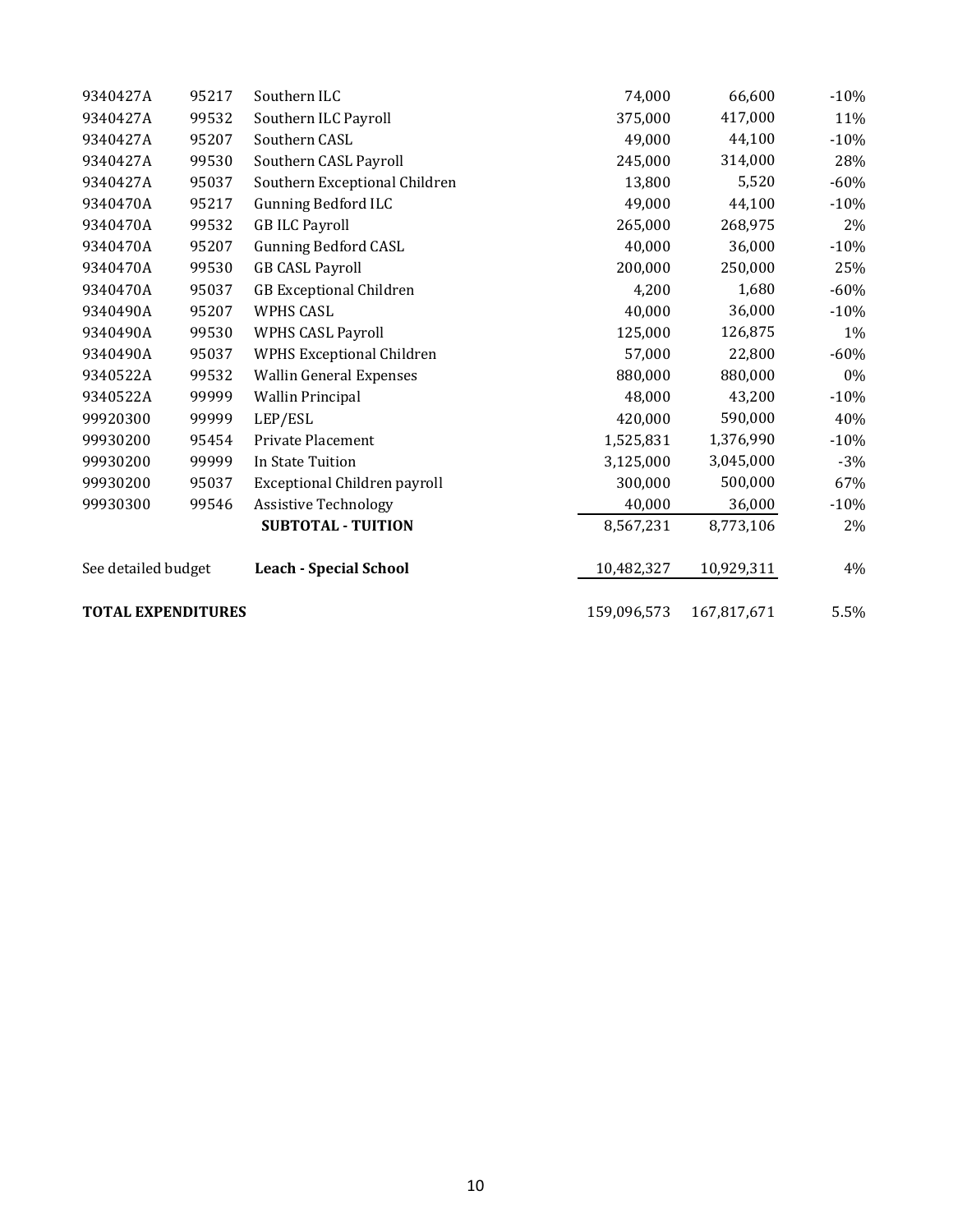| 9340427A                  | 95217 | Southern ILC                     | 74,000      | 66,600      | $-10%$ |
|---------------------------|-------|----------------------------------|-------------|-------------|--------|
| 9340427A                  | 99532 | Southern ILC Payroll             | 375,000     | 417,000     | 11%    |
| 9340427A                  | 95207 | Southern CASL                    | 49,000      | 44,100      | $-10%$ |
| 9340427A                  | 99530 | Southern CASL Payroll            | 245,000     | 314,000     | 28%    |
| 9340427A                  | 95037 | Southern Exceptional Children    | 13,800      | 5,520       | $-60%$ |
| 9340470A                  | 95217 | <b>Gunning Bedford ILC</b>       | 49,000      | 44,100      | $-10%$ |
| 9340470A                  | 99532 | <b>GB ILC Payroll</b>            | 265,000     | 268,975     | 2%     |
| 9340470A                  | 95207 | <b>Gunning Bedford CASL</b>      | 40,000      | 36,000      | $-10%$ |
| 9340470A                  | 99530 | <b>GB CASL Payroll</b>           | 200,000     | 250,000     | 25%    |
| 9340470A                  | 95037 | <b>GB</b> Exceptional Children   | 4,200       | 1,680       | $-60%$ |
| 9340490A                  | 95207 | <b>WPHS CASL</b>                 | 40,000      | 36,000      | $-10%$ |
| 9340490A                  | 99530 | <b>WPHS CASL Payroll</b>         | 125,000     | 126,875     | 1%     |
| 9340490A                  | 95037 | <b>WPHS Exceptional Children</b> | 57,000      | 22,800      | $-60%$ |
| 9340522A                  | 99532 | <b>Wallin General Expenses</b>   | 880,000     | 880,000     | $0\%$  |
| 9340522A                  | 99999 | <b>Wallin Principal</b>          | 48,000      | 43,200      | $-10%$ |
| 99920300                  | 99999 | LEP/ESL                          | 420,000     | 590,000     | 40%    |
| 99930200                  | 95454 | Private Placement                | 1,525,831   | 1,376,990   | $-10%$ |
| 99930200                  | 99999 | In State Tuition                 | 3,125,000   | 3,045,000   | $-3%$  |
| 99930200                  | 95037 | Exceptional Children payroll     | 300,000     | 500,000     | 67%    |
| 99930300                  | 99546 | <b>Assistive Technology</b>      | 40,000      | 36,000      | $-10%$ |
|                           |       | <b>SUBTOTAL - TUITION</b>        | 8,567,231   | 8,773,106   | 2%     |
| See detailed budget       |       | <b>Leach - Special School</b>    | 10,482,327  | 10,929,311  | 4%     |
| <b>TOTAL EXPENDITURES</b> |       |                                  | 159,096,573 | 167,817,671 | 5.5%   |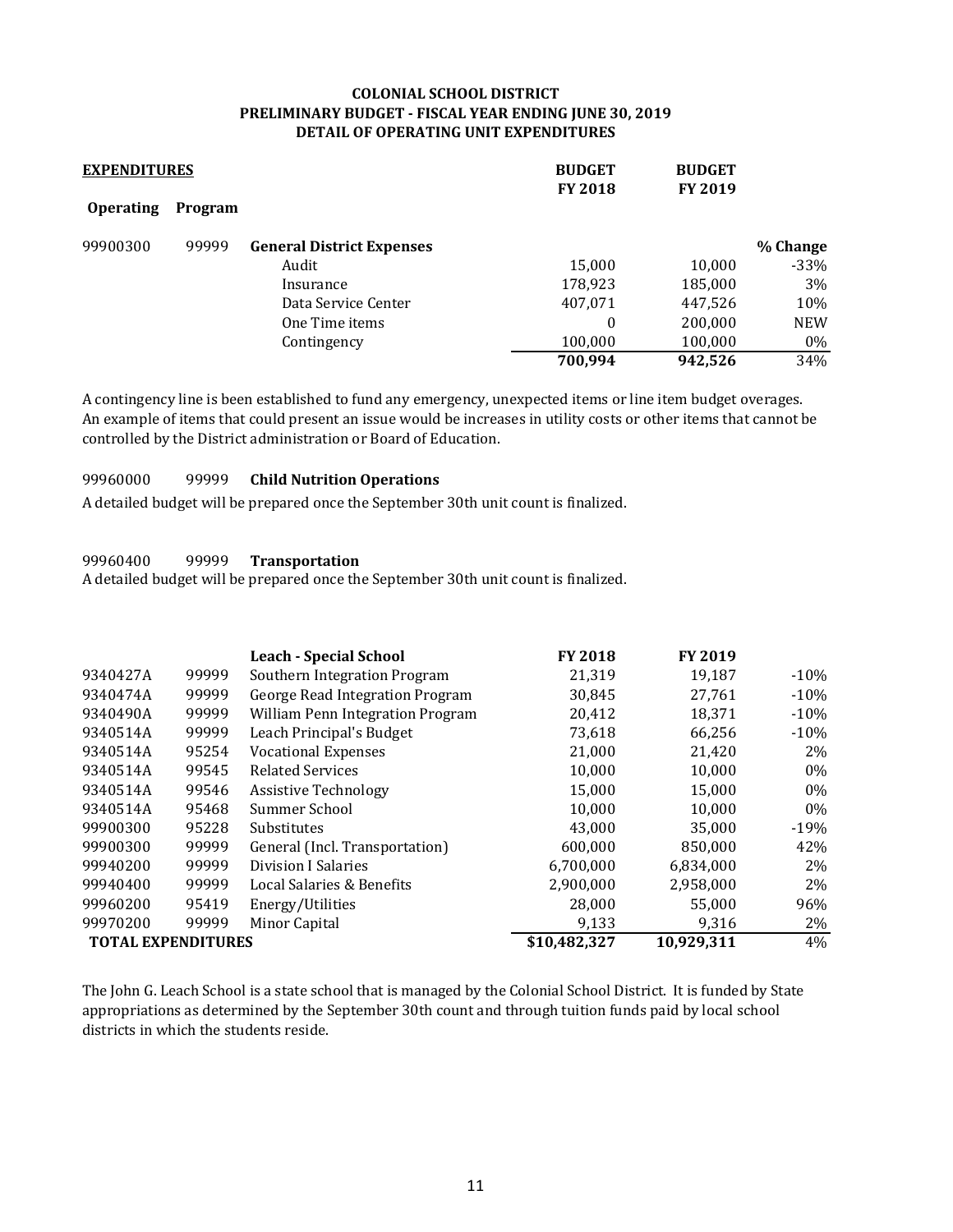#### **COLONIAL SCHOOL DISTRICT PRELIMINARY BUDGET - FISCAL YEAR ENDING JUNE 30, 2019 DETAIL OF OPERATING UNIT EXPENDITURES**

| <b>EXPENDITURES</b> |         | <b>BUDGET</b>                    | <b>BUDGET</b>  |                |            |
|---------------------|---------|----------------------------------|----------------|----------------|------------|
|                     |         |                                  | <b>FY 2018</b> | <b>FY 2019</b> |            |
| <b>Operating</b>    | Program |                                  |                |                |            |
|                     |         |                                  |                |                |            |
| 99900300            | 99999   | <b>General District Expenses</b> |                |                | % Change   |
|                     |         | Audit                            | 15,000         | 10,000         | $-33%$     |
|                     |         | Insurance                        | 178,923        | 185,000        | 3%         |
|                     |         | Data Service Center              | 407,071        | 447,526        | 10%        |
|                     |         | One Time items                   | $\theta$       | 200,000        | <b>NEW</b> |
|                     |         | Contingency                      | 100,000        | 100,000        | 0%         |
|                     |         |                                  | 700,994        | 942,526        | 34%        |

A contingency line is been established to fund any emergency, unexpected items or line item budget overages. An example of items that could present an issue would be increases in utility costs or other items that cannot be controlled by the District administration or Board of Education.

#### 99960000 99999 **Child Nutrition Operations**

A detailed budget will be prepared once the September 30th unit count is finalized.

#### 99960400 99999 **Transportation**

A detailed budget will be prepared once the September 30th unit count is finalized.

|                           |       | <b>Leach - Special School</b>    | <b>FY 2018</b> | <b>FY 2019</b> |         |
|---------------------------|-------|----------------------------------|----------------|----------------|---------|
| 9340427A                  | 99999 | Southern Integration Program     | 21,319         | 19,187         | $-10\%$ |
| 9340474A                  | 99999 | George Read Integration Program  | 30,845         | 27,761         | $-10%$  |
| 9340490A                  | 99999 | William Penn Integration Program | 20.412         | 18.371         | $-10%$  |
| 9340514A                  | 99999 | Leach Principal's Budget         | 73,618         | 66,256         | $-10%$  |
| 9340514A                  | 95254 | <b>Vocational Expenses</b>       | 21,000         | 21,420         | 2%      |
| 9340514A                  | 99545 | <b>Related Services</b>          | 10,000         | 10,000         | $0\%$   |
| 9340514A                  | 99546 | <b>Assistive Technology</b>      | 15,000         | 15,000         | 0%      |
| 9340514A                  | 95468 | Summer School                    | 10,000         | 10.000         | $0\%$   |
| 99900300                  | 95228 | Substitutes                      | 43,000         | 35,000         | $-19%$  |
| 99900300                  | 99999 | General (Incl. Transportation)   | 600,000        | 850.000        | 42%     |
| 99940200                  | 99999 | Division I Salaries              | 6,700,000      | 6,834,000      | 2%      |
| 99940400                  | 99999 | Local Salaries & Benefits        | 2,900,000      | 2,958,000      | 2%      |
| 99960200                  | 95419 | Energy/Utilities                 | 28,000         | 55,000         | 96%     |
| 99970200                  | 99999 | Minor Capital                    | 9,133          | 9,316          | 2%      |
| <b>TOTAL EXPENDITURES</b> |       |                                  | \$10,482,327   | 10,929,311     | 4%      |

The John G. Leach School is a state school that is managed by the Colonial School District. It is funded by State appropriations as determined by the September 30th count and through tuition funds paid by local school districts in which the students reside.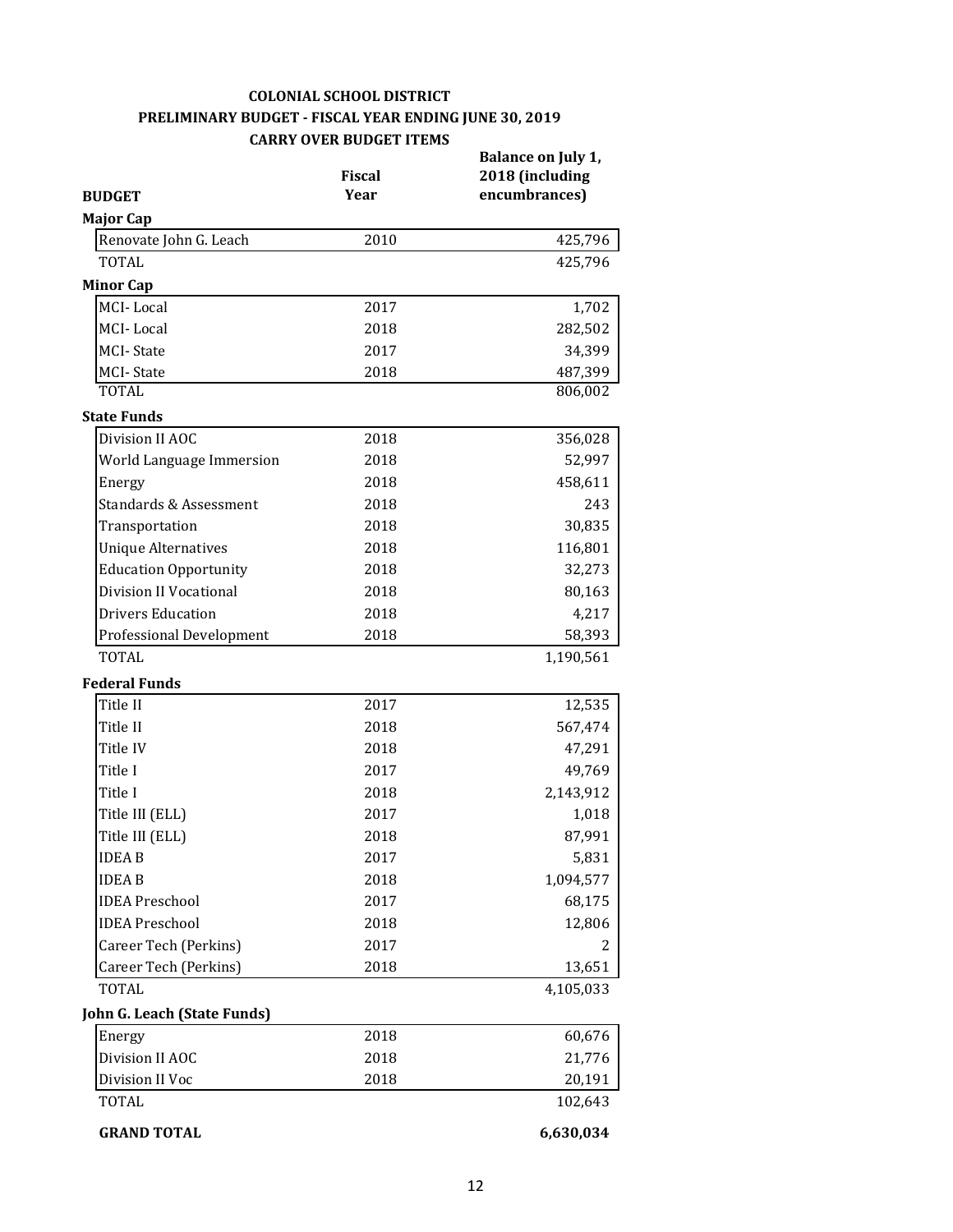#### **Balance on July 1, COLONIAL SCHOOL DISTRICT PRELIMINARY BUDGET - FISCAL YEAR ENDING JUNE 30, 2019 CARRY OVER BUDGET ITEMS**

| <b>BUDGET</b>                | <b>Fiscal</b><br>Year | Balance on july 1,<br>2018 (including<br>encumbrances) |
|------------------------------|-----------------------|--------------------------------------------------------|
| Major Cap                    |                       |                                                        |
| Renovate John G. Leach       | 2010                  | 425,796                                                |
| <b>TOTAL</b>                 |                       | 425,796                                                |
| <b>Minor Cap</b>             |                       |                                                        |
| MCI-Local                    | 2017                  | 1,702                                                  |
| MCI-Local                    | 2018                  | 282,502                                                |
| <b>MCI-State</b>             | 2017                  | 34,399                                                 |
| MCI-State                    | 2018                  | 487,399                                                |
| <b>TOTAL</b>                 |                       | 806,002                                                |
| <b>State Funds</b>           |                       |                                                        |
| Division II AOC              | 2018                  | 356,028                                                |
| World Language Immersion     | 2018                  | 52,997                                                 |
| Energy                       | 2018                  | 458,611                                                |
| Standards & Assessment       | 2018                  | 243                                                    |
| Transportation               | 2018                  | 30,835                                                 |
| <b>Unique Alternatives</b>   | 2018                  | 116,801                                                |
| <b>Education Opportunity</b> | 2018                  | 32,273                                                 |
| Division II Vocational       | 2018                  | 80,163                                                 |
| <b>Drivers Education</b>     | 2018                  | 4,217                                                  |
| Professional Development     | 2018                  | 58,393                                                 |
| <b>TOTAL</b>                 |                       | 1,190,561                                              |
| <b>Federal Funds</b>         |                       |                                                        |
| Title II                     | 2017                  | 12,535                                                 |
| Title II                     | 2018                  | 567,474                                                |
| Title IV                     | 2018                  | 47,291                                                 |
| Title I                      | 2017                  | 49,769                                                 |
| Title I                      | 2018                  | 2,143,912                                              |
| Title III (ELL)              | 2017                  | 1,018                                                  |
| Title III (ELL)              | 2018                  | 87,991                                                 |
| <b>IDEAB</b>                 | 2017                  | 5,831                                                  |
| <b>IDEAB</b>                 | 2018                  | 1,094,577                                              |
| <b>IDEA</b> Preschool        | 2017                  | 68,175                                                 |
| <b>IDEA Preschool</b>        | 2018                  | 12,806                                                 |
| Career Tech (Perkins)        | 2017                  | 2                                                      |
| Career Tech (Perkins)        | 2018                  | 13,651                                                 |
| <b>TOTAL</b>                 |                       | 4,105,033                                              |
| John G. Leach (State Funds)  |                       |                                                        |
| Energy                       | 2018                  | 60,676                                                 |
| Division II AOC              | 2018                  | 21,776                                                 |
| Division II Voc              | 2018                  | 20,191                                                 |
| <b>TOTAL</b>                 |                       | 102,643                                                |
| <b>GRAND TOTAL</b>           |                       | 6,630,034                                              |